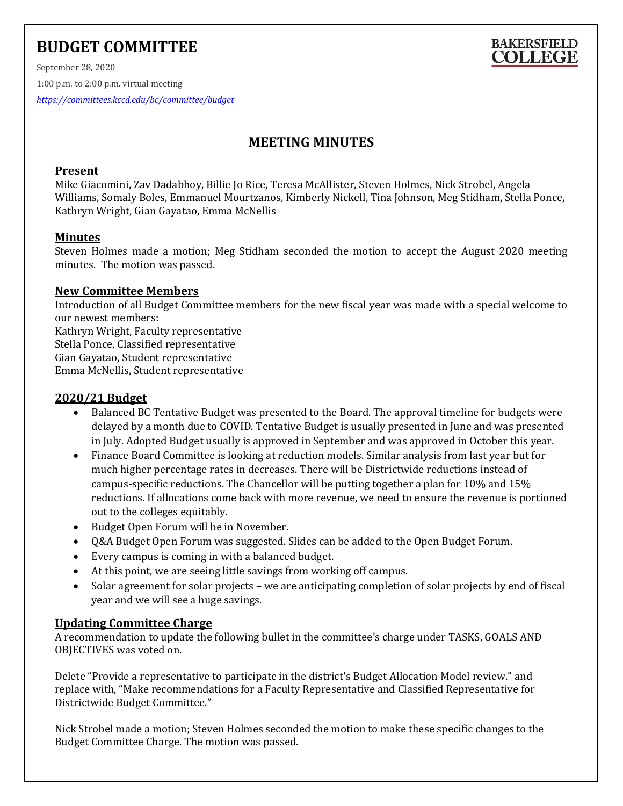# **BUDGET COMMITTEE**



September 28, 2020 1:00 p.m. to 2:00 p.m. virtual meeting

*<https://committees.kccd.edu/bc/committee/budget>*

## **MEETING MINUTES**

### **Present**

Mike Giacomini, Zav Dadabhoy, Billie Jo Rice, Teresa McAllister, Steven Holmes, Nick Strobel, Angela Williams, Somaly Boles, Emmanuel Mourtzanos, Kimberly Nickell, Tina Johnson, Meg Stidham, Stella Ponce, Kathryn Wright, Gian Gayatao, Emma McNellis

## **Minutes**

Steven Holmes made a motion; Meg Stidham seconded the motion to accept the August 2020 meeting minutes. The motion was passed.

## **New Committee Members**

Introduction of all Budget Committee members for the new fiscal year was made with a special welcome to our newest members:

Kathryn Wright, Faculty representative Stella Ponce, Classified representative Gian Gayatao, Student representative Emma McNellis, Student representative

## **2020/21 Budget**

- Balanced BC Tentative Budget was presented to the Board. The approval timeline for budgets were delayed by a month due to COVID. Tentative Budget is usually presented in June and was presented in July. Adopted Budget usually is approved in September and was approved in October this year.
- Finance Board Committee is looking at reduction models. Similar analysis from last year but for much higher percentage rates in decreases. There will be Districtwide reductions instead of campus-specific reductions. The Chancellor will be putting together a plan for 10% and 15% reductions. If allocations come back with more revenue, we need to ensure the revenue is portioned out to the colleges equitably.
- Budget Open Forum will be in November.
- Q&A Budget Open Forum was suggested. Slides can be added to the Open Budget Forum.
- Every campus is coming in with a balanced budget.
- At this point, we are seeing little savings from working off campus.
- Solar agreement for solar projects we are anticipating completion of solar projects by end of fiscal year and we will see a huge savings.

## **Updating Committee Charge**

A recommendation to update the following bullet in the committee's charge under TASKS, GOALS AND OBJECTIVES was voted on.

Delete "Provide a representative to participate in the district's Budget Allocation Model review." and replace with, "Make recommendations for a Faculty Representative and Classified Representative for Districtwide Budget Committee."

Nick Strobel made a motion; Steven Holmes seconded the motion to make these specific changes to the Budget Committee Charge. The motion was passed.